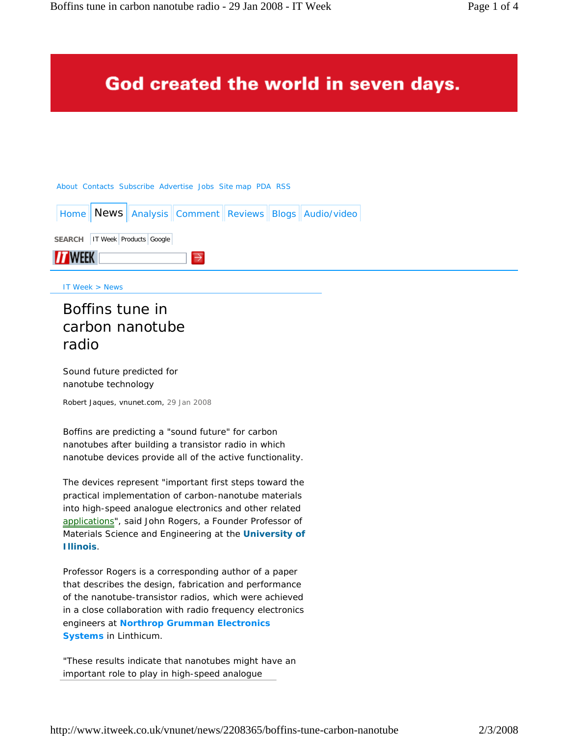# God created the world in seven days.

#### About Contacts Subscribe Advertise Jobs Site map PDA RSS



IT Week > News

# Boffins tune in carbon nanotube radio

Sound future predicted for nanotube technology

Robert Jaques, vnunet.com, 29 Jan 2008

Boffins are predicting a "sound future" for carbon nanotubes after building a transistor radio in which nanotube devices provide all of the active functionality.

The devices represent "important first steps toward the practical implementation of carbon-nanotube materials into high-speed analogue electronics and other related applications", said John Rogers, a Founder Professor of Materials Science and Engineering at the **University of Illinois**.

Professor Rogers is a corresponding author of a paper that describes the design, fabrication and performance of the nanotube-transistor radios, which were achieved in a close collaboration with radio frequency electronics engineers at **Northrop Grumman Electronics Systems** in Linthicum.

"These results indicate that nanotubes might have an important role to play in high-speed analogue